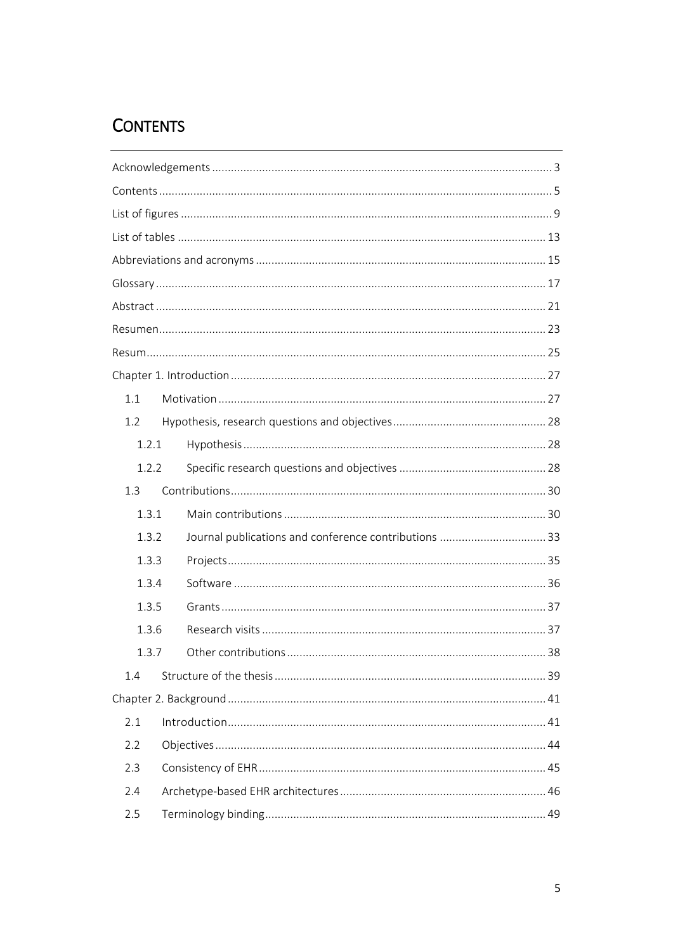## <span id="page-0-0"></span>**CONTENTS**

| 1.1   |  |  |  |  |
|-------|--|--|--|--|
| 1.2   |  |  |  |  |
| 1.2.1 |  |  |  |  |
| 1.2.2 |  |  |  |  |
| 1.3   |  |  |  |  |
| 1.3.1 |  |  |  |  |
| 1.3.2 |  |  |  |  |
| 1.3.3 |  |  |  |  |
| 1.3.4 |  |  |  |  |
| 1.3.5 |  |  |  |  |
| 1.3.6 |  |  |  |  |
| 1.3.7 |  |  |  |  |
| 1.4   |  |  |  |  |
|       |  |  |  |  |
| 2.1   |  |  |  |  |
| 2.2   |  |  |  |  |
| 2.3   |  |  |  |  |
| 2.4   |  |  |  |  |
| 2.5   |  |  |  |  |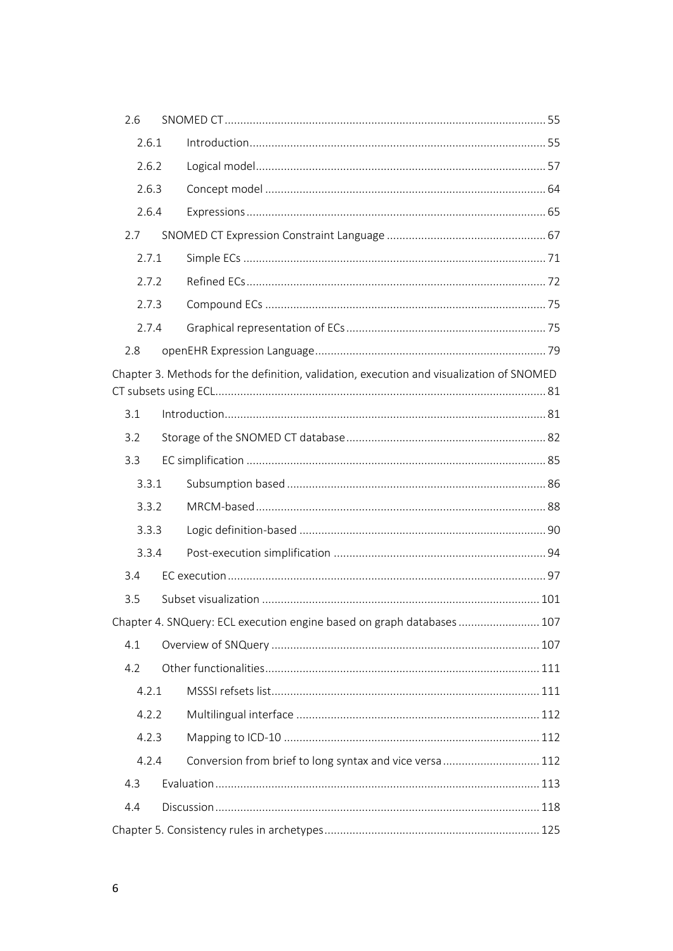| 2.6   |  |                                                                                          |  |
|-------|--|------------------------------------------------------------------------------------------|--|
| 2.6.1 |  |                                                                                          |  |
| 2.6.2 |  |                                                                                          |  |
| 2.6.3 |  |                                                                                          |  |
| 2.6.4 |  |                                                                                          |  |
| 2.7   |  |                                                                                          |  |
| 2.7.1 |  |                                                                                          |  |
| 2.7.2 |  |                                                                                          |  |
| 2.7.3 |  |                                                                                          |  |
| 2.7.4 |  |                                                                                          |  |
| 2.8   |  |                                                                                          |  |
|       |  | Chapter 3. Methods for the definition, validation, execution and visualization of SNOMED |  |
| 3.1   |  |                                                                                          |  |
| 3.2   |  |                                                                                          |  |
| 3.3   |  |                                                                                          |  |
| 3.3.1 |  |                                                                                          |  |
| 3.3.2 |  |                                                                                          |  |
| 3.3.3 |  |                                                                                          |  |
| 3.3.4 |  |                                                                                          |  |
| 3.4   |  |                                                                                          |  |
| 3.5   |  |                                                                                          |  |
|       |  | Chapter 4. SNQuery: ECL execution engine based on graph databases  107                   |  |
| 4.1   |  |                                                                                          |  |
| 4.2   |  |                                                                                          |  |
| 4.2.1 |  |                                                                                          |  |
| 4.2.2 |  |                                                                                          |  |
| 4.2.3 |  |                                                                                          |  |
| 4.2.4 |  | Conversion from brief to long syntax and vice versa 112                                  |  |
| 4.3   |  |                                                                                          |  |
| 4.4   |  |                                                                                          |  |
|       |  |                                                                                          |  |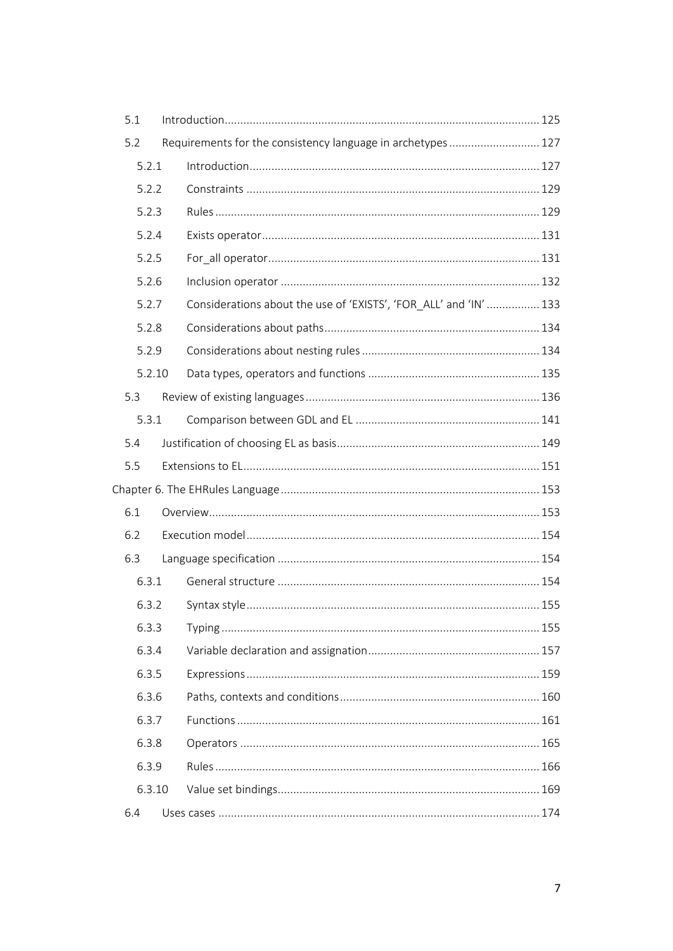| 5.1    |                                                                   |  |
|--------|-------------------------------------------------------------------|--|
| 5.2    | Requirements for the consistency language in archetypes  127      |  |
| 5.2.1  |                                                                   |  |
| 5.2.2  |                                                                   |  |
| 5.2.3  |                                                                   |  |
| 5.2.4  |                                                                   |  |
| 5.2.5  |                                                                   |  |
| 5.2.6  |                                                                   |  |
| 5.2.7  | Considerations about the use of 'EXISTS', 'FOR_ALL' and 'IN'  133 |  |
| 5.2.8  |                                                                   |  |
| 5.2.9  |                                                                   |  |
| 5.2.10 |                                                                   |  |
| 5.3    |                                                                   |  |
| 5.3.1  |                                                                   |  |
| 5.4    |                                                                   |  |
| 5.5    |                                                                   |  |
|        |                                                                   |  |
| 6.1    |                                                                   |  |
| 6.2    |                                                                   |  |
| 6.3    |                                                                   |  |
| 6.3.1  |                                                                   |  |
| 6.3.2  |                                                                   |  |
| 6.3.3  |                                                                   |  |
| 6.3.4  |                                                                   |  |
| 6.3.5  |                                                                   |  |
| 6.3.6  |                                                                   |  |
| 6.3.7  |                                                                   |  |
| 6.3.8  |                                                                   |  |
| 6.3.9  |                                                                   |  |
| 6.3.10 |                                                                   |  |
| 6.4    |                                                                   |  |